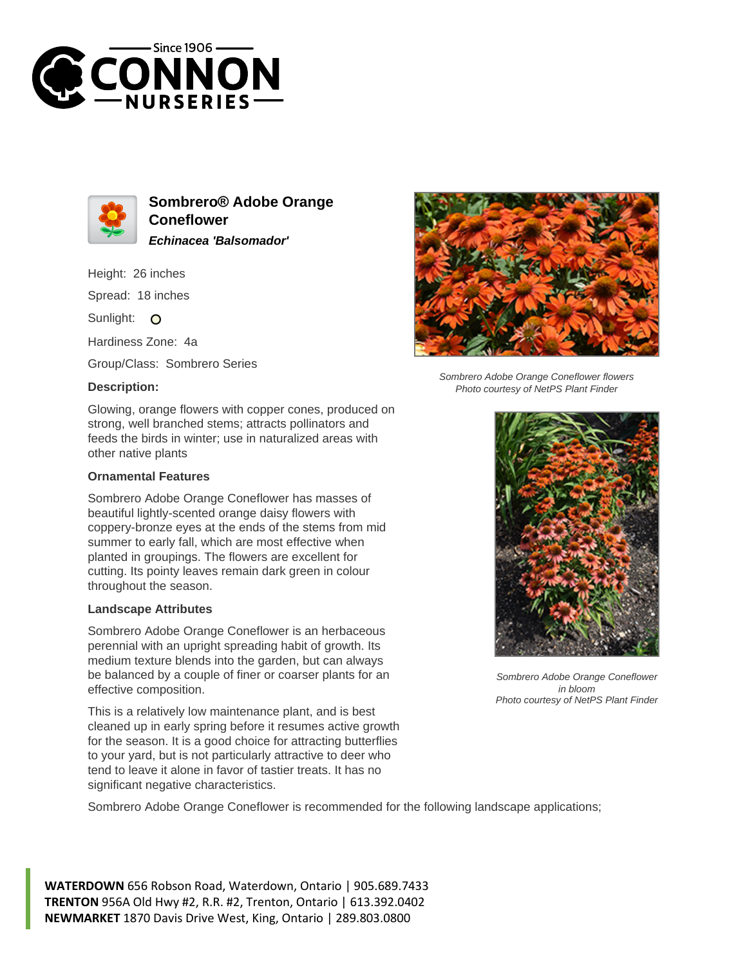



**Sombrero® Adobe Orange Coneflower Echinacea 'Balsomador'**

Height: 26 inches

Spread: 18 inches

Sunlight: O

Hardiness Zone: 4a

Group/Class: Sombrero Series

## **Description:**



## **Ornamental Features**

Sombrero Adobe Orange Coneflower has masses of beautiful lightly-scented orange daisy flowers with coppery-bronze eyes at the ends of the stems from mid summer to early fall, which are most effective when planted in groupings. The flowers are excellent for cutting. Its pointy leaves remain dark green in colour throughout the season.

## **Landscape Attributes**

Sombrero Adobe Orange Coneflower is an herbaceous perennial with an upright spreading habit of growth. Its medium texture blends into the garden, but can always be balanced by a couple of finer or coarser plants for an effective composition.

This is a relatively low maintenance plant, and is best cleaned up in early spring before it resumes active growth for the season. It is a good choice for attracting butterflies to your yard, but is not particularly attractive to deer who tend to leave it alone in favor of tastier treats. It has no significant negative characteristics.

Sombrero Adobe Orange Coneflower is recommended for the following landscape applications;

**WATERDOWN** 656 Robson Road, Waterdown, Ontario | 905.689.7433 **TRENTON** 956A Old Hwy #2, R.R. #2, Trenton, Ontario | 613.392.0402 **NEWMARKET** 1870 Davis Drive West, King, Ontario | 289.803.0800



Sombrero Adobe Orange Coneflower flowers Photo courtesy of NetPS Plant Finder



Sombrero Adobe Orange Coneflower in bloom Photo courtesy of NetPS Plant Finder